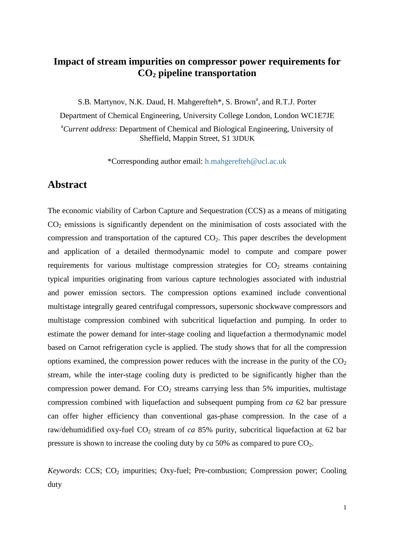# **Impact of stream impurities on compressor power requirements for CO<sup>2</sup> pipeline transportation**

S.B. Martynov, N.K. Daud, H. Mahgerefteh\*, S. Brown<sup>a</sup>, and R.T.J. Porter Department of Chemical Engineering, University College London, London WC1E7JE <sup>a</sup>*Current address*: Department of Chemical and Biological Engineering, University of Sheffield, Mappin Street, S1 3JDUK

\*Corresponding author email: h.mahgerefteh@ucl.ac.uk

## **Abstract**

The economic viability of Carbon Capture and Sequestration (CCS) as a means of mitigating  $CO<sub>2</sub>$  emissions is significantly dependent on the minimisation of costs associated with the compression and transportation of the captured  $CO<sub>2</sub>$ . This paper describes the development and application of a detailed thermodynamic model to compute and compare power requirements for various multistage compression strategies for  $CO<sub>2</sub>$  streams containing typical impurities originating from various capture technologies associated with industrial and power emission sectors. The compression options examined include conventional multistage integrally geared centrifugal compressors, supersonic shockwave compressors and multistage compression combined with subcritical liquefaction and pumping. In order to estimate the power demand for inter-stage cooling and liquefaction a thermodynamic model based on Carnot refrigeration cycle is applied. The study shows that for all the compression options examined, the compression power reduces with the increase in the purity of the  $CO<sub>2</sub>$ stream, while the inter-stage cooling duty is predicted to be significantly higher than the compression power demand. For  $CO<sub>2</sub>$  streams carrying less than 5% impurities, multistage compression combined with liquefaction and subsequent pumping from *ca* 62 bar pressure can offer higher efficiency than conventional gas-phase compression. In the case of a raw/dehumidified oxy-fuel CO<sub>2</sub> stream of *ca* 85% purity, subcritical liquefaction at 62 bar pressure is shown to increase the cooling duty by  $ca$  50% as compared to pure  $CO<sub>2</sub>$ .

*Keywords*: CCS; CO<sub>2</sub> impurities; Oxy-fuel; Pre-combustion; Compression power; Cooling duty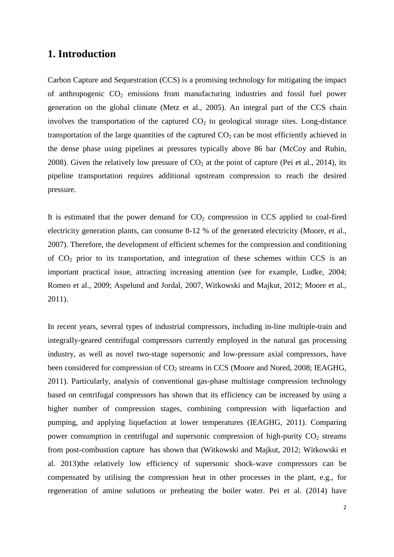# **1. Introduction**

Carbon Capture and Sequestration (CCS) is a promising technology for mitigating the impact of anthropogenic  $CO<sub>2</sub>$  emissions from manufacturing industries and fossil fuel power generation on the global climate (Metz et al., 2005). An integral part of the CCS chain involves the transportation of the captured  $CO<sub>2</sub>$  to geological storage sites. Long-distance transportation of the large quantities of the captured  $CO<sub>2</sub>$  can be most efficiently achieved in the dense phase using pipelines at pressures typically above 86 bar (McCoy and Rubin, 2008). Given the relatively low pressure of  $CO<sub>2</sub>$  at the point of capture (Pei et al., 2014), its pipeline transportation requires additional upstream compression to reach the desired pressure.

It is estimated that the power demand for  $CO<sub>2</sub>$  compression in CCS applied to coal-fired electricity generation plants, can consume 8-12 % of the generated electricity (Moore, et al., 2007). Therefore, the development of efficient schemes for the compression and conditioning of  $CO<sub>2</sub>$  prior to its transportation, and integration of these schemes within CCS is an important practical issue, attracting increasing attention (see for example, Ludke, 2004; Romeo et al., 2009; Aspelund and Jordal, 2007, Witkowski and Majkut, 2012; Moore et al., 2011).

In recent years, several types of industrial compressors, including in-line multiple-train and integrally-geared centrifugal compressors currently employed in the natural gas processing industry, as well as novel two-stage supersonic and low-pressure axial compressors, have been considered for compression of CO<sub>2</sub> streams in CCS (Moore and Nored, 2008; IEAGHG, 2011). Particularly, analysis of conventional gas-phase multistage compression technology based on centrifugal compressors has shown that its efficiency can be increased by using a higher number of compression stages, combining compression with liquefaction and pumping, and applying liquefaction at lower temperatures (IEAGHG, 2011). Comparing power consumption in centrifugal and supersonic compression of high-purity  $CO<sub>2</sub>$  streams from post-combustion capture has shown that (Witkowski and Majkut, 2012; Witkowski et al. 2013)the relatively low efficiency of supersonic shock-wave compressors can be compensated by utilising the compression heat in other processes in the plant, e.g., for regeneration of amine solutions or preheating the boiler water. Pei et al. (2014) have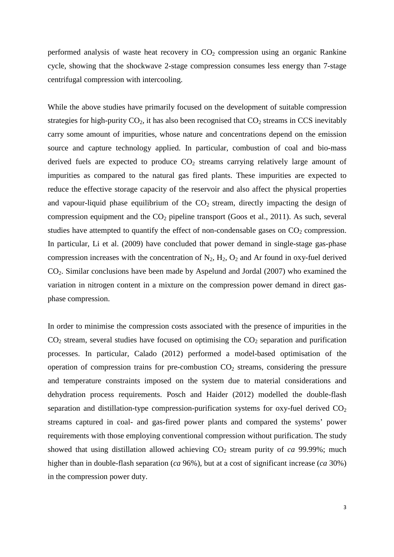performed analysis of waste heat recovery in  $CO<sub>2</sub>$  compression using an organic Rankine cycle, showing that the shockwave 2-stage compression consumes less energy than 7-stage centrifugal compression with intercooling.

While the above studies have primarily focused on the development of suitable compression strategies for high-purity  $CO<sub>2</sub>$ , it has also been recognised that  $CO<sub>2</sub>$  streams in CCS inevitably carry some amount of impurities, whose nature and concentrations depend on the emission source and capture technology applied. In particular, combustion of coal and bio-mass derived fuels are expected to produce  $CO<sub>2</sub>$  streams carrying relatively large amount of impurities as compared to the natural gas fired plants. These impurities are expected to reduce the effective storage capacity of the reservoir and also affect the physical properties and vapour-liquid phase equilibrium of the  $CO<sub>2</sub>$  stream, directly impacting the design of compression equipment and the  $CO<sub>2</sub>$  pipeline transport (Goos et al., 2011). As such, several studies have attempted to quantify the effect of non-condensable gases on  $CO<sub>2</sub>$  compression. In particular, Li et al. (2009) have concluded that power demand in single-stage gas-phase compression increases with the concentration of  $N_2$ ,  $H_2$ ,  $O_2$  and Ar found in oxy-fuel derived CO2. Similar conclusions have been made by Aspelund and Jordal (2007) who examined the variation in nitrogen content in a mixture on the compression power demand in direct gasphase compression.

In order to minimise the compression costs associated with the presence of impurities in the  $CO<sub>2</sub>$  stream, several studies have focused on optimising the  $CO<sub>2</sub>$  separation and purification processes. In particular, Calado (2012) performed a model-based optimisation of the operation of compression trains for pre-combustion  $CO<sub>2</sub>$  streams, considering the pressure and temperature constraints imposed on the system due to material considerations and dehydration process requirements. Posch and Haider (2012) modelled the double-flash separation and distillation-type compression-purification systems for oxy-fuel derived  $CO<sub>2</sub>$ streams captured in coal- and gas-fired power plants and compared the systems' power requirements with those employing conventional compression without purification. The study showed that using distillation allowed achieving  $CO<sub>2</sub>$  stream purity of *ca* 99.99%; much higher than in double-flash separation (*ca* 96%), but at a cost of significant increase (*ca* 30%) in the compression power duty.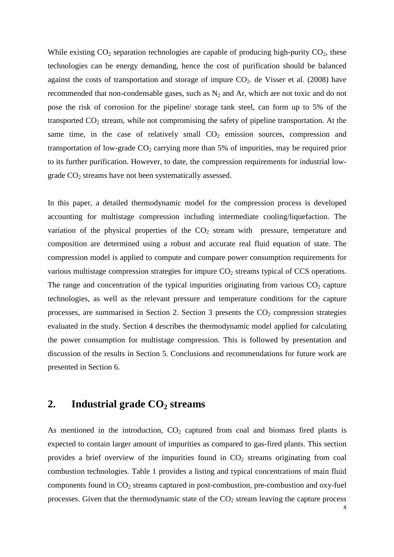While existing  $CO_2$  separation technologies are capable of producing high-purity  $CO_2$ , these technologies can be energy demanding, hence the cost of purification should be balanced against the costs of transportation and storage of impure  $CO<sub>2</sub>$ . de Visser et al. (2008) have recommended that non-condensable gases, such as  $N_2$  and Ar, which are not toxic and do not pose the risk of corrosion for the pipeline/ storage tank steel, can form up to 5% of the transported  $CO<sub>2</sub>$  stream, while not compromising the safety of pipeline transportation. At the same time, in the case of relatively small  $CO<sub>2</sub>$  emission sources, compression and transportation of low-grade  $CO<sub>2</sub>$  carrying more than 5% of impurities, may be required prior to its further purification. However, to date, the compression requirements for industrial lowgrade  $CO<sub>2</sub>$  streams have not been systematically assessed.

In this paper, a detailed thermodynamic model for the compression process is developed accounting for multistage compression including intermediate cooling/liquefaction. The variation of the physical properties of the  $CO<sub>2</sub>$  stream with pressure, temperature and composition are determined using a robust and accurate real fluid equation of state. The compression model is applied to compute and compare power consumption requirements for various multistage compression strategies for impure CO<sub>2</sub> streams typical of CCS operations. The range and concentration of the typical impurities originating from various  $CO<sub>2</sub>$  capture technologies, as well as the relevant pressure and temperature conditions for the capture processes, are summarised in Section 2. Section 3 presents the  $CO<sub>2</sub>$  compression strategies evaluated in the study. Section 4 describes the thermodynamic model applied for calculating the power consumption for multistage compression. This is followed by presentation and discussion of the results in Section 5. Conclusions and recommendations for future work are presented in Section 6.

# **2. Industrial grade CO<sup>2</sup> streams**

4 As mentioned in the introduction,  $CO<sub>2</sub>$  captured from coal and biomass fired plants is expected to contain larger amount of impurities as compared to gas-fired plants. This section provides a brief overview of the impurities found in  $CO<sub>2</sub>$  streams originating from coal combustion technologies. Table 1 provides a listing and typical concentrations of main fluid components found in CO<sub>2</sub> streams captured in post-combustion, pre-combustion and oxy-fuel processes. Given that the thermodynamic state of the  $CO<sub>2</sub>$  stream leaving the capture process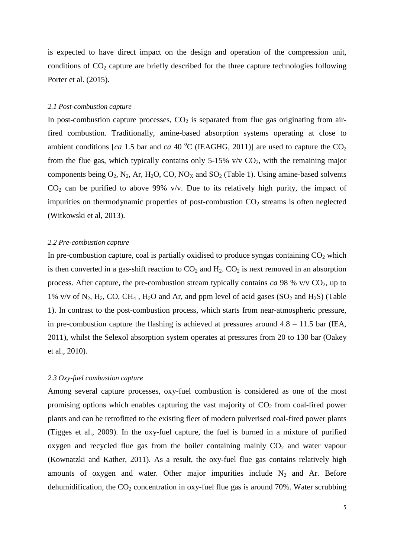is expected to have direct impact on the design and operation of the compression unit, conditions of  $CO<sub>2</sub>$  capture are briefly described for the three capture technologies following Porter et al. (2015).

#### *2.1 Post-combustion capture*

In post-combustion capture processes,  $CO<sub>2</sub>$  is separated from flue gas originating from airfired combustion. Traditionally, amine-based absorption systems operating at close to ambient conditions [*ca* 1.5 bar and *ca* 40  $^{\circ}$ C (IEAGHG, 2011)] are used to capture the CO<sub>2</sub> from the flue gas, which typically contains only 5-15% v/v  $CO<sub>2</sub>$ , with the remaining major components being  $O_2$ , N<sub>2</sub>, Ar, H<sub>2</sub>O, CO, NO<sub>X</sub> and SO<sub>2</sub> (Table 1). Using amine-based solvents  $CO<sub>2</sub>$  can be purified to above 99% v/v. Due to its relatively high purity, the impact of impurities on thermodynamic properties of post-combustion  $CO<sub>2</sub>$  streams is often neglected (Witkowski et al, 2013).

#### *2.2 Pre-combustion capture*

In pre-combustion capture, coal is partially oxidised to produce syngas containing  $CO<sub>2</sub>$  which is then converted in a gas-shift reaction to  $CO<sub>2</sub>$  and  $H<sub>2</sub>$ .  $CO<sub>2</sub>$  is next removed in an absorption process. After capture, the pre-combustion stream typically contains *ca* 98 %  $v/v$  CO<sub>2</sub>, up to 1% v/v of  $N_2$ ,  $H_2$ , CO, CH<sub>4</sub>, H<sub>2</sub>O and Ar, and ppm level of acid gases (SO<sub>2</sub> and H<sub>2</sub>S) (Table 1). In contrast to the post-combustion process, which starts from near-atmospheric pressure, in pre-combustion capture the flashing is achieved at pressures around  $4.8 - 11.5$  bar (IEA, 2011), whilst the Selexol absorption system operates at pressures from 20 to 130 bar (Oakey et al., 2010).

#### *2.3 Oxy-fuel combustion capture*

Among several capture processes, oxy-fuel combustion is considered as one of the most promising options which enables capturing the vast majority of  $CO<sub>2</sub>$  from coal-fired power plants and can be retrofitted to the existing fleet of modern pulverised coal-fired power plants (Tigges et al., 2009). In the oxy-fuel capture, the fuel is burned in a mixture of purified oxygen and recycled flue gas from the boiler containing mainly  $CO<sub>2</sub>$  and water vapour (Kownatzki and Kather, 2011). As a result, the oxy-fuel flue gas contains relatively high amounts of oxygen and water. Other major impurities include  $N_2$  and Ar. Before dehumidification, the  $CO<sub>2</sub>$  concentration in oxy-fuel flue gas is around 70%. Water scrubbing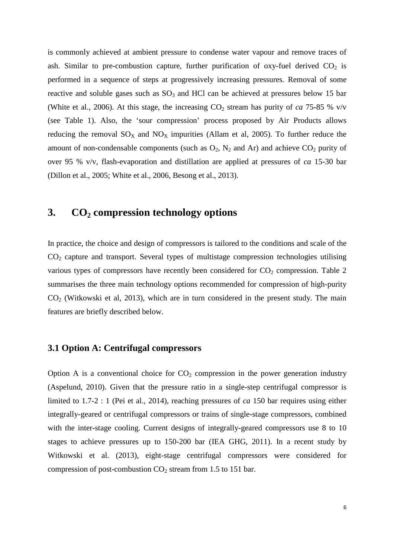is commonly achieved at ambient pressure to condense water vapour and remove traces of ash. Similar to pre-combustion capture, further purification of oxy-fuel derived  $CO<sub>2</sub>$  is performed in a sequence of steps at progressively increasing pressures. Removal of some reactive and soluble gases such as  $SO_3$  and HCl can be achieved at pressures below 15 bar (White et al., 2006). At this stage, the increasing  $CO_2$  stream has purity of *ca* 75-85 % v/v (see Table 1). Also, the 'sour compression' process proposed by Air Products allows reducing the removal  $SO_X$  and  $NO_X$  impurities (Allam et al, 2005). To further reduce the amount of non-condensable components (such as  $O_2$ ,  $N_2$  and Ar) and achieve  $CO_2$  purity of over 95 % v/v, flash-evaporation and distillation are applied at pressures of *ca* 15-30 bar (Dillon et al., 2005; White et al., 2006, Besong et al., 2013).

# **3. CO<sup>2</sup> compression technology options**

In practice, the choice and design of compressors is tailored to the conditions and scale of the  $CO<sub>2</sub>$  capture and transport. Several types of multistage compression technologies utilising various types of compressors have recently been considered for  $CO<sub>2</sub>$  compression. Table 2 summarises the three main technology options recommended for compression of high-purity  $CO<sub>2</sub>$  (Witkowski et al, 2013), which are in turn considered in the present study. The main features are briefly described below.

#### **3.1 Option A: Centrifugal compressors**

Option A is a conventional choice for  $CO<sub>2</sub>$  compression in the power generation industry (Aspelund, 2010). Given that the pressure ratio in a single-step centrifugal compressor is limited to 1.7-2 : 1 (Pei et al., 2014), reaching pressures of *ca* 150 bar requires using either integrally-geared or centrifugal compressors or trains of single-stage compressors, combined with the inter-stage cooling. Current designs of integrally-geared compressors use 8 to 10 stages to achieve pressures up to 150-200 bar (IEA GHG, 2011). In a recent study by Witkowski et al. (2013), eight-stage centrifugal compressors were considered for compression of post-combustion  $CO<sub>2</sub>$  stream from 1.5 to 151 bar.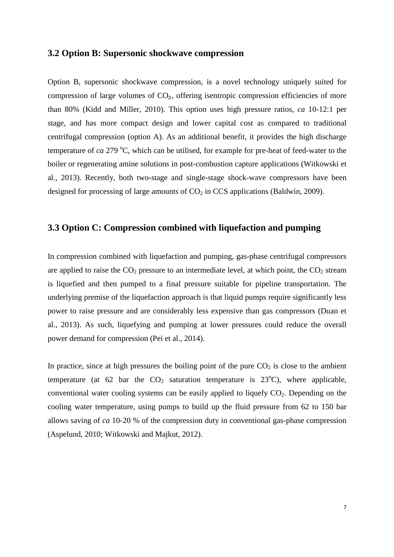#### **3.2 Option B: Supersonic shockwave compression**

Option B, supersonic shockwave compression, is a novel technology uniquely suited for compression of large volumes of  $CO<sub>2</sub>$ , offering isentropic compression efficiencies of more than 80% (Kidd and Miller, 2010). This option uses high pressure ratios, *ca* 10-12:1 per stage, and has more compact design and lower capital cost as compared to traditional centrifugal compression (option A). As an additional benefit, it provides the high discharge temperature of *ca* 279 °C, which can be utilised, for example for pre-heat of feed-water to the boiler or regenerating amine solutions in post-combustion capture applications (Witkowski et al., 2013). Recently, both two-stage and single-stage shock-wave compressors have been designed for processing of large amounts of  $CO<sub>2</sub>$  in CCS applications (Baldwin, 2009).

### **3.3 Option C: Compression combined with liquefaction and pumping**

In compression combined with liquefaction and pumping, gas-phase centrifugal compressors are applied to raise the  $CO<sub>2</sub>$  pressure to an intermediate level, at which point, the  $CO<sub>2</sub>$  stream is liquefied and then pumped to a final pressure suitable for pipeline transportation. The underlying premise of the liquefaction approach is that liquid pumps require significantly less power to raise pressure and are considerably less expensive than gas compressors (Duan et al., 2013). As such, liquefying and pumping at lower pressures could reduce the overall power demand for compression (Pei et al., 2014).

In practice, since at high pressures the boiling point of the pure  $CO<sub>2</sub>$  is close to the ambient temperature (at 62 bar the  $CO<sub>2</sub>$  saturation temperature is 23<sup>o</sup>C), where applicable, conventional water cooling systems can be easily applied to liquefy  $CO<sub>2</sub>$ . Depending on the cooling water temperature, using pumps to build up the fluid pressure from 62 to 150 bar allows saving of *ca* 10-20 % of the compression duty in conventional gas-phase compression (Aspelund, 2010; Witkowski and Majkut, 2012).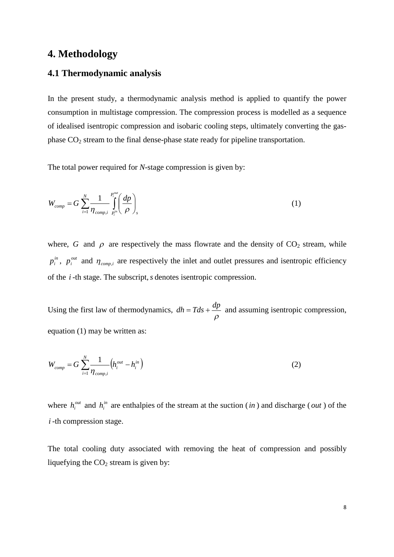## **4. Methodology**

### **4.1 Thermodynamic analysis**

In the present study, a thermodynamic analysis method is applied to quantify the power consumption in multistage compression. The compression process is modelled as a sequence of idealised isentropic compression and isobaric cooling steps, ultimately converting the gasphase CO<sup>2</sup> stream to the final dense-phase state ready for pipeline transportation.

The total power required for *N*-stage compression is given by:

$$
W_{comp} = G \sum_{i=1}^{N} \frac{1}{\eta_{comp,i}} \int_{P_i^{in}}^{P_i^{out}} \left(\frac{dp}{\rho}\right)_s
$$
 (1)

where, *G* and  $\rho$  are respectively the mass flowrate and the density of  $CO_2$  stream, while *in*  $p_i^{in}$ ,  $p_i^{out}$  $p_i^{out}$  and  $\eta_{comp,i}$  are respectively the inlet and outlet pressures and isentropic efficiency of the *i* -th stage. The subscript,*s* denotes isentropic compression.

Using the first law of thermodynamics,  $\rho$  $dh = Tds + \frac{dp}{dt}$  and assuming isentropic compression, equation (1) may be written as:

$$
W_{comp} = G \sum_{i=1}^{N} \frac{1}{\eta_{comp,i}} \left( h_i^{out} - h_i^{in} \right)
$$
 (2)

where  $h_i^{out}$  and  $h_i^{in}$  are enthalpies of the stream at the suction (*in*) and discharge (*out*) of the *i* -th compression stage.

The total cooling duty associated with removing the heat of compression and possibly liquefying the  $CO<sub>2</sub>$  stream is given by: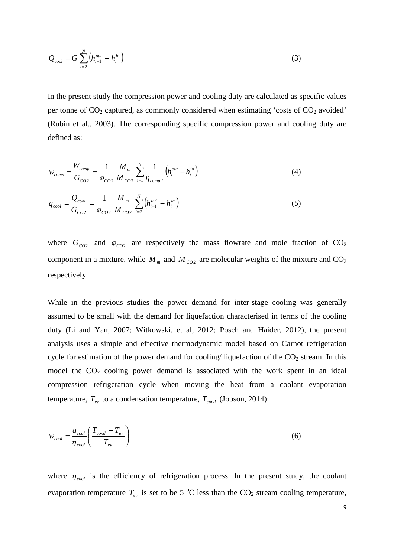$$
Q_{cool} = G \sum_{i=2}^{N} \left( h_{i-1}^{out} - h_i^{in} \right)
$$
 (3)

In the present study the compression power and cooling duty are calculated as specific values per tonne of  $CO_2$  captured, as commonly considered when estimating 'costs of  $CO_2$  avoided' (Rubin et al., 2003). The corresponding specific compression power and cooling duty are defined as:

$$
w_{comp} = \frac{W_{comp}}{G_{CO2}} = \frac{1}{\varphi_{CO2}} \frac{M_m}{M_{CO2}} \sum_{i=1}^{N} \frac{1}{\eta_{comp,i}} \left( h_i^{out} - h_i^{in} \right)
$$
(4)

$$
q_{cool} = \frac{Q_{cool}}{G_{CO2}} = \frac{1}{\varphi_{CO2}} \frac{M_m}{M_{CO2}} \sum_{i=2}^{N} \left( h_{i-1}^{out} - h_i^{in} \right)
$$
 (5)

where  $G_{CO2}$  and  $\varphi_{CO2}$  are respectively the mass flowrate and mole fraction of  $CO_2$ component in a mixture, while  $M_m$  and  $M_{CO2}$  are molecular weights of the mixture and  $CO_2$ respectively.

While in the previous studies the power demand for inter-stage cooling was generally assumed to be small with the demand for liquefaction characterised in terms of the cooling duty (Li and Yan, 2007; Witkowski, et al, 2012; Posch and Haider, 2012), the present analysis uses a simple and effective thermodynamic model based on Carnot refrigeration cycle for estimation of the power demand for cooling/ liquefaction of the  $CO<sub>2</sub>$  stream. In this model the  $CO<sub>2</sub>$  cooling power demand is associated with the work spent in an ideal compression refrigeration cycle when moving the heat from a coolant evaporation temperature,  $T_{ev}$  to a condensation temperature,  $T_{cond}$  (Jobson, 2014):

$$
w_{cool} = \frac{q_{cool}}{\eta_{cool}} \left( \frac{T_{cond} - T_{ev}}{T_{ev}} \right)
$$
 (6)

where  $\eta_{cool}$  is the efficiency of refrigeration process. In the present study, the coolant evaporation temperature  $T_{ev}$  is set to be 5 °C less than the CO<sub>2</sub> stream cooling temperature,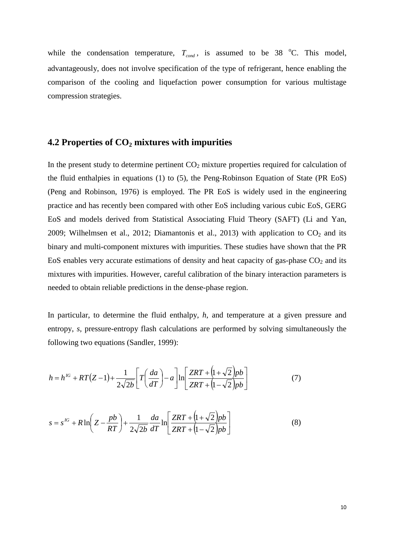while the condensation temperature,  $T_{cond}$ , is assumed to be 38 <sup>o</sup>C. This model, advantageously, does not involve specification of the type of refrigerant, hence enabling the comparison of the cooling and liquefaction power consumption for various multistage compression strategies.

### **4.2 Properties of CO<sup>2</sup> mixtures with impurities**

In the present study to determine pertinent  $CO<sub>2</sub>$  mixture properties required for calculation of the fluid enthalpies in equations (1) to (5), the Peng-Robinson Equation of State (PR EoS) (Peng and Robinson, 1976) is employed. The PR EoS is widely used in the engineering practice and has recently been compared with other EoS including various cubic EoS, GERG EoS and models derived from Statistical Associating Fluid Theory (SAFT) (Li and Yan, 2009; Wilhelmsen et al., 2012; Diamantonis et al., 2013) with application to  $CO<sub>2</sub>$  and its binary and multi-component mixtures with impurities. These studies have shown that the PR EoS enables very accurate estimations of density and heat capacity of gas-phase  $CO<sub>2</sub>$  and its mixtures with impurities. However, careful calibration of the binary interaction parameters is needed to obtain reliable predictions in the dense-phase region.

In particular, to determine the fluid enthalpy, *h*, and temperature at a given pressure and entropy, *s,* pressure-entropy flash calculations are performed by solving simultaneously the following two equations (Sandler, 1999):

$$
h = h^{IG} + RT(Z-1) + \frac{1}{2\sqrt{2b}} \left[ T\left(\frac{da}{dT}\right) - a \right] \ln \left[ \frac{ZRT + \left(1 + \sqrt{2}\right)pb}{ZRT + \left(1 - \sqrt{2}\right)pb} \right] \tag{7}
$$

$$
s = s^{IG} + R \ln \left( Z - \frac{pb}{RT} \right) + \frac{1}{2\sqrt{2b}} \frac{da}{dT} \ln \left[ \frac{ZRT + \left( 1 + \sqrt{2} \right) pb}{ZRT + \left( 1 - \sqrt{2} \right) pb} \right]
$$
(8)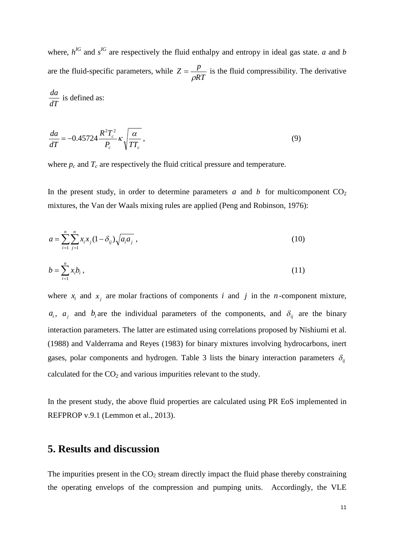where,  $h^{IG}$  and  $s^{IG}$  are respectively the fluid enthalpy and entropy in ideal gas state. *a* and *b* are the fluid-specific parameters, while *RT*  $Z = \frac{p}{q}$  $\rho$  $=\frac{P}{\sqrt{P}}$  is the fluid compressibility. The derivative *dT*  $\frac{da}{dx}$  is defined as:

$$
\frac{da}{dT} = -0.45724 \frac{R^2 T_c^2}{P_c} \kappa \sqrt{\frac{\alpha}{TT_c}},\tag{9}
$$

where  $p_c$  and  $T_c$  are respectively the fluid critical pressure and temperature.

In the present study, in order to determine parameters  $a$  and  $b$  for multicomponent  $CO<sub>2</sub>$ mixtures, the Van der Waals mixing rules are applied (Peng and Robinson, 1976):

$$
a = \sum_{i=1}^{n} \sum_{j=1}^{n} x_i x_j (1 - \delta_{ij}) \sqrt{a_i a_j} \tag{10}
$$

$$
b = \sum_{i=1}^{n} x_i b_i , \qquad (11)
$$

where  $x_i$  and  $x_j$  are molar fractions of components *i* and *j* in the *n*-component mixture,  $a_i$ ,  $a_j$  and  $b_i$  are the individual parameters of the components, and  $\delta_{ij}$  are the binary interaction parameters. The latter are estimated using correlations proposed by Nishiumi et al. (1988) and Valderrama and Reyes (1983) for binary mixtures involving hydrocarbons, inert gases, polar components and hydrogen. Table 3 lists the binary interaction parameters  $\delta_{ij}$ calculated for the  $CO<sub>2</sub>$  and various impurities relevant to the study.

In the present study, the above fluid properties are calculated using PR EoS implemented in REFPROP v.9.1 (Lemmon et al., 2013).

# **5. Results and discussion**

The impurities present in the  $CO<sub>2</sub>$  stream directly impact the fluid phase thereby constraining the operating envelops of the compression and pumping units. Accordingly, the VLE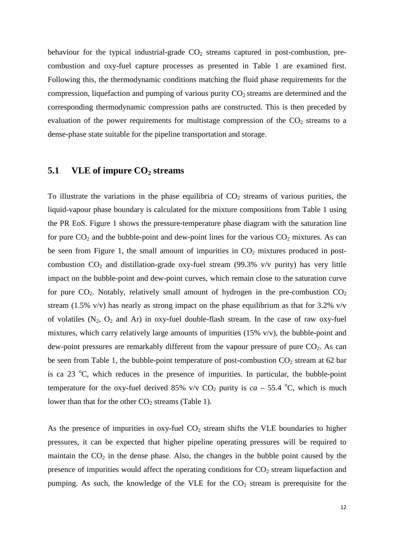behaviour for the typical industrial-grade  $CO<sub>2</sub>$  streams captured in post-combustion, precombustion and oxy-fuel capture processes as presented in Table 1 are examined first. Following this, the thermodynamic conditions matching the fluid phase requirements for the compression, liquefaction and pumping of various purity  $CO<sub>2</sub>$  streams are determined and the corresponding thermodynamic compression paths are constructed. This is then preceded by evaluation of the power requirements for multistage compression of the  $CO<sub>2</sub>$  streams to a dense-phase state suitable for the pipeline transportation and storage.

## **5.1 VLE of impure CO<sup>2</sup> streams**

To illustrate the variations in the phase equilibria of  $CO<sub>2</sub>$  streams of various purities, the liquid-vapour phase boundary is calculated for the mixture compositions from Table 1 using the PR EoS. Figure 1 shows the pressure-temperature phase diagram with the saturation line for pure  $CO<sub>2</sub>$  and the bubble-point and dew-point lines for the various  $CO<sub>2</sub>$  mixtures. As can be seen from Figure 1, the small amount of impurities in  $CO<sub>2</sub>$  mixtures produced in postcombustion  $CO_2$  and distillation-grade oxy-fuel stream (99.3% v/v purity) has very little impact on the bubble-point and dew-point curves, which remain close to the saturation curve for pure  $CO_2$ . Notably, relatively small amount of hydrogen in the pre-combustion  $CO_2$ stream (1.5% v/v) has nearly as strong impact on the phase equilibrium as that for 3.2% v/v of volatiles  $(N_2, O_2$  and Ar) in oxy-fuel double-flash stream. In the case of raw oxy-fuel mixtures, which carry relatively large amounts of impurities (15% v/v), the bubble-point and dew-point pressures are remarkably different from the vapour pressure of pure  $CO<sub>2</sub>$ . As can be seen from Table 1, the bubble-point temperature of post-combustion  $CO_2$  stream at 62 bar is ca 23  $^{\circ}$ C, which reduces in the presence of impurities. In particular, the bubble-point temperature for the oxy-fuel derived 85% v/v  $CO_2$  purity is  $ca - 55.4$  °C, which is much lower than that for the other  $CO<sub>2</sub>$  streams (Table 1).

As the presence of impurities in oxy-fuel  $CO<sub>2</sub>$  stream shifts the VLE boundaries to higher pressures, it can be expected that higher pipeline operating pressures will be required to maintain the  $CO<sub>2</sub>$  in the dense phase. Also, the changes in the bubble point caused by the presence of impurities would affect the operating conditions for  $CO<sub>2</sub>$  stream liquefaction and pumping. As such, the knowledge of the VLE for the  $CO<sub>2</sub>$  stream is prerequisite for the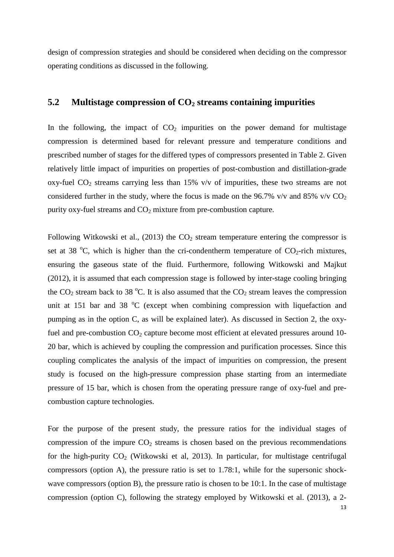design of compression strategies and should be considered when deciding on the compressor operating conditions as discussed in the following.

## **5.2 Multistage compression of CO<sup>2</sup> streams containing impurities**

In the following, the impact of  $CO<sub>2</sub>$  impurities on the power demand for multistage compression is determined based for relevant pressure and temperature conditions and prescribed number of stages for the differed types of compressors presented in Table 2. Given relatively little impact of impurities on properties of post-combustion and distillation-grade oxy-fuel  $CO<sub>2</sub>$  streams carrying less than 15% v/v of impurities, these two streams are not considered further in the study, where the focus is made on the 96.7% v/v and 85% v/v  $CO<sub>2</sub>$ purity oxy-fuel streams and  $CO<sub>2</sub>$  mixture from pre-combustion capture.

Following Witkowski et al., (2013) the  $CO<sub>2</sub>$  stream temperature entering the compressor is set at 38  $^{\circ}$ C, which is higher than the cri-condentherm temperature of CO<sub>2</sub>-rich mixtures, ensuring the gaseous state of the fluid. Furthermore, following Witkowski and Majkut (2012), it is assumed that each compression stage is followed by inter-stage cooling bringing the  $CO_2$  stream back to 38 °C. It is also assumed that the  $CO_2$  stream leaves the compression unit at 151 bar and 38  $\degree$ C (except when combining compression with liquefaction and pumping as in the option C, as will be explained later). As discussed in Section 2, the oxyfuel and pre-combustion  $CO<sub>2</sub>$  capture become most efficient at elevated pressures around 10-20 bar, which is achieved by coupling the compression and purification processes. Since this coupling complicates the analysis of the impact of impurities on compression, the present study is focused on the high-pressure compression phase starting from an intermediate pressure of 15 bar, which is chosen from the operating pressure range of oxy-fuel and precombustion capture technologies.

13 For the purpose of the present study, the pressure ratios for the individual stages of compression of the impure  $CO<sub>2</sub>$  streams is chosen based on the previous recommendations for the high-purity  $CO_2$  (Witkowski et al, 2013). In particular, for multistage centrifugal compressors (option A), the pressure ratio is set to 1.78:1, while for the supersonic shockwave compressors (option B), the pressure ratio is chosen to be 10:1. In the case of multistage compression (option C), following the strategy employed by Witkowski et al. (2013), a 2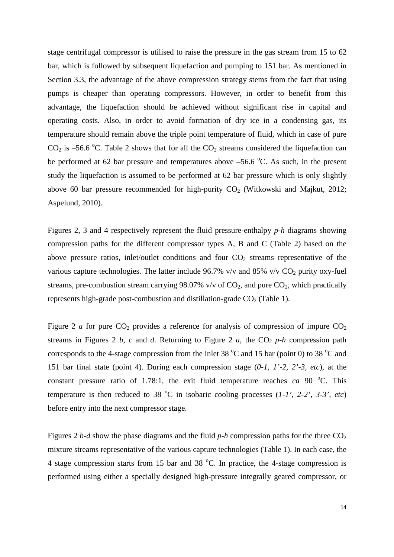stage centrifugal compressor is utilised to raise the pressure in the gas stream from 15 to 62 bar, which is followed by subsequent liquefaction and pumping to 151 bar. As mentioned in Section 3.3, the advantage of the above compression strategy stems from the fact that using pumps is cheaper than operating compressors. However, in order to benefit from this advantage, the liquefaction should be achieved without significant rise in capital and operating costs. Also, in order to avoid formation of dry ice in a condensing gas, its temperature should remain above the triple point temperature of fluid, which in case of pure  $CO<sub>2</sub>$  is –56.6 °C. Table 2 shows that for all the  $CO<sub>2</sub>$  streams considered the liquefaction can be performed at 62 bar pressure and temperatures above  $-56.6$  °C. As such, in the present study the liquefaction is assumed to be performed at 62 bar pressure which is only slightly above 60 bar pressure recommended for high-purity  $CO<sub>2</sub>$  (Witkowski and Majkut, 2012; Aspelund, 2010).

Figures 2, 3 and 4 respectively represent the fluid pressure-enthalpy *p-h* diagrams showing compression paths for the different compressor types A, B and C (Table 2) based on the above pressure ratios, inlet/outlet conditions and four  $CO<sub>2</sub>$  streams representative of the various capture technologies. The latter include 96.7% v/v and 85% v/v  $CO<sub>2</sub>$  purity oxy-fuel streams, pre-combustion stream carrying 98.07% v/v of  $CO<sub>2</sub>$ , and pure  $CO<sub>2</sub>$ , which practically represents high-grade post-combustion and distillation-grade  $CO<sub>2</sub>$  (Table 1).

Figure 2 *a* for pure  $CO_2$  provides a reference for analysis of compression of impure  $CO_2$ streams in Figures 2  $b$ ,  $c$  and  $d$ . Returning to Figure 2  $a$ , the  $CO<sub>2</sub> p-h$  compression path corresponds to the 4-stage compression from the inlet 38  $^{\circ}$ C and 15 bar (point 0) to 38  $^{\circ}$ C and 151 bar final state (point 4). During each compression stage (*0-1, 1'-2, 2'-3, etc*), at the constant pressure ratio of 1.78:1, the exit fluid temperature reaches *ca* 90  $^{\circ}$ C. This temperature is then reduced to 38  $^{\circ}$ C in isobaric cooling processes (*1-1', 2-2', 3-3', etc*) before entry into the next compressor stage.

Figures 2 *b-d* show the phase diagrams and the fluid *p-h* compression paths for the three  $CO<sub>2</sub>$ mixture streams representative of the various capture technologies (Table 1). In each case, the 4 stage compression starts from 15 bar and 38  $^{\circ}$ C. In practice, the 4-stage compression is performed using either a specially designed high-pressure integrally geared compressor, or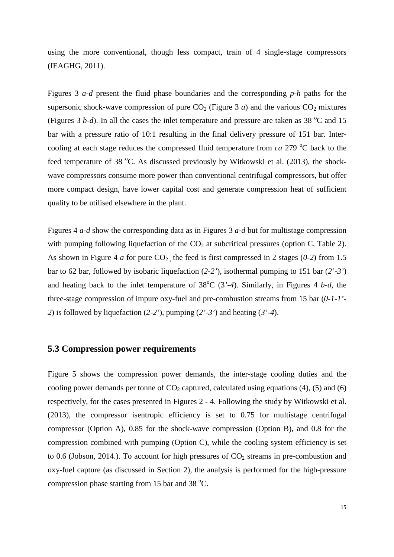using the more conventional, though less compact, train of 4 single-stage compressors (IEAGHG, 2011).

Figures 3 *a-d* present the fluid phase boundaries and the corresponding *p-h* paths for the supersonic shock-wave compression of pure  $CO<sub>2</sub>$  (Figure 3 *a*) and the various  $CO<sub>2</sub>$  mixtures (Figures 3 *b-d*). In all the cases the inlet temperature and pressure are taken as 38  $^{\circ}$ C and 15 bar with a pressure ratio of 10:1 resulting in the final delivery pressure of 151 bar. Intercooling at each stage reduces the compressed fluid temperature from  $ca$  279 °C back to the feed temperature of 38  $^{\circ}$ C. As discussed previously by Witkowski et al. (2013), the shockwave compressors consume more power than conventional centrifugal compressors, but offer more compact design, have lower capital cost and generate compression heat of sufficient quality to be utilised elsewhere in the plant.

Figures 4 *a-d* show the corresponding data as in Figures 3 *a-d* but for multistage compression with pumping following liquefaction of the  $CO<sub>2</sub>$  at subcritical pressures (option C, Table 2). As shown in Figure 4 *a* for pure  $CO<sub>2</sub>$ , the feed is first compressed in 2 stages (0-2) from 1.5 bar to 62 bar, followed by isobaric liquefaction (*2-2'*), isothermal pumping to 151 bar (*2'-3'*) and heating back to the inlet temperature of  $38^{\circ}$ C (3'-4). Similarly, in Figures 4 *b-d*, the three-stage compression of impure oxy-fuel and pre-combustion streams from 15 bar (*0-1-1'- 2*) is followed by liquefaction (*2-2'*), pumping (*2'-3'*) and heating (*3'-4*).

### **5.3 Compression power requirements**

Figure 5 shows the compression power demands, the inter-stage cooling duties and the cooling power demands per tonne of  $CO<sub>2</sub>$  captured, calculated using equations (4), (5) and (6) respectively, for the cases presented in Figures 2 - 4. Following the study by Witkowski et al. (2013), the compressor isentropic efficiency is set to 0.75 for multistage centrifugal compressor (Option A), 0.85 for the shock-wave compression (Option B), and 0.8 for the compression combined with pumping (Option C), while the cooling system efficiency is set to 0.6 (Jobson, 2014.). To account for high pressures of  $CO<sub>2</sub>$  streams in pre-combustion and oxy-fuel capture (as discussed in Section 2), the analysis is performed for the high-pressure compression phase starting from 15 bar and 38  $^{\circ}$ C.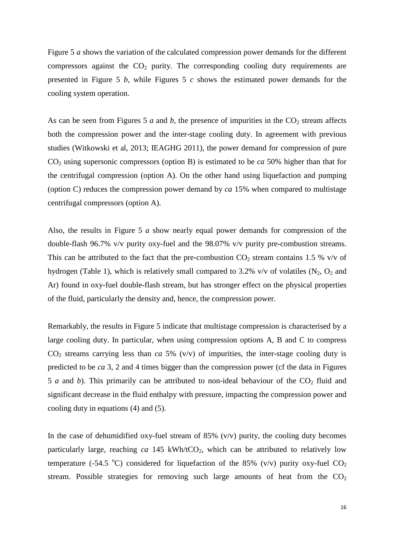Figure 5 *a* shows the variation of the calculated compression power demands for the different compressors against the  $CO<sub>2</sub>$  purity. The corresponding cooling duty requirements are presented in Figure 5 *b*, while Figures 5 *c* shows the estimated power demands for the cooling system operation.

As can be seen from Figures 5  $a$  and  $b$ , the presence of impurities in the  $CO<sub>2</sub>$  stream affects both the compression power and the inter-stage cooling duty. In agreement with previous studies (Witkowski et al, 2013; IEAGHG 2011), the power demand for compression of pure CO<sup>2</sup> using supersonic compressors (option B) is estimated to be *ca* 50% higher than that for the centrifugal compression (option A). On the other hand using liquefaction and pumping (option C) reduces the compression power demand by *ca* 15% when compared to multistage centrifugal compressors (option A).

Also, the results in Figure 5 *a* show nearly equal power demands for compression of the double-flash 96.7% v/v purity oxy-fuel and the 98.07% v/v purity pre-combustion streams. This can be attributed to the fact that the pre-combustion  $CO_2$  stream contains 1.5 % v/v of hydrogen (Table 1), which is relatively small compared to 3.2% v/v of volatiles  $(N_2, O_2$  and Ar) found in oxy-fuel double-flash stream, but has stronger effect on the physical properties of the fluid, particularly the density and, hence, the compression power.

Remarkably, the results in Figure 5 indicate that multistage compression is characterised by a large cooling duty. In particular, when using compression options A, B and C to compress  $CO<sub>2</sub>$  streams carrying less than *ca* 5% (v/v) of impurities, the inter-stage cooling duty is predicted to be *ca* 3, 2 and 4 times bigger than the compression power (cf the data in Figures 5 *a* and *b*). This primarily can be attributed to non-ideal behaviour of the  $CO<sub>2</sub>$  fluid and significant decrease in the fluid enthalpy with pressure, impacting the compression power and cooling duty in equations (4) and (5).

In the case of dehumidified oxy-fuel stream of  $85\%$  (v/v) purity, the cooling duty becomes particularly large, reaching  $ca$  145 kWh/tCO<sub>2</sub>, which can be attributed to relatively low temperature (-54.5 °C) considered for liquefaction of the 85% (v/v) purity oxy-fuel  $CO<sub>2</sub>$ stream. Possible strategies for removing such large amounts of heat from the  $CO<sub>2</sub>$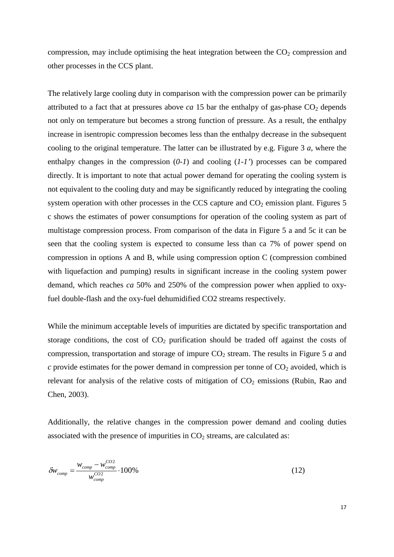compression, may include optimising the heat integration between the  $CO<sub>2</sub>$  compression and other processes in the CCS plant.

The relatively large cooling duty in comparison with the compression power can be primarily attributed to a fact that at pressures above *ca* 15 bar the enthalpy of gas-phase  $CO<sub>2</sub>$  depends not only on temperature but becomes a strong function of pressure. As a result, the enthalpy increase in isentropic compression becomes less than the enthalpy decrease in the subsequent cooling to the original temperature. The latter can be illustrated by e.g. Figure 3 *a*, where the enthalpy changes in the compression (*0-1*) and cooling (*1-1'*) processes can be compared directly. It is important to note that actual power demand for operating the cooling system is not equivalent to the cooling duty and may be significantly reduced by integrating the cooling system operation with other processes in the CCS capture and  $CO<sub>2</sub>$  emission plant. Figures 5 c shows the estimates of power consumptions for operation of the cooling system as part of multistage compression process. From comparison of the data in Figure 5 a and 5c it can be seen that the cooling system is expected to consume less than ca 7% of power spend on compression in options A and B, while using compression option C (compression combined with liquefaction and pumping) results in significant increase in the cooling system power demand, which reaches *ca* 50% and 250% of the compression power when applied to oxyfuel double-flash and the oxy-fuel dehumidified CO2 streams respectively.

While the minimum acceptable levels of impurities are dictated by specific transportation and storage conditions, the cost of  $CO<sub>2</sub>$  purification should be traded off against the costs of compression, transportation and storage of impure  $CO<sub>2</sub>$  stream. The results in Figure 5 *a* and  $c$  provide estimates for the power demand in compression per tonne of  $CO<sub>2</sub>$  avoided, which is relevant for analysis of the relative costs of mitigation of  $CO<sub>2</sub>$  emissions (Rubin, Rao and Chen, 2003).

Additionally, the relative changes in the compression power demand and cooling duties associated with the presence of impurities in  $CO<sub>2</sub>$  streams, are calculated as:

$$
\delta w_{comp} = \frac{w_{comp} - w_{comp}^{CO2}}{w_{comp}^{CO2}} \cdot 100\%
$$
\n(12)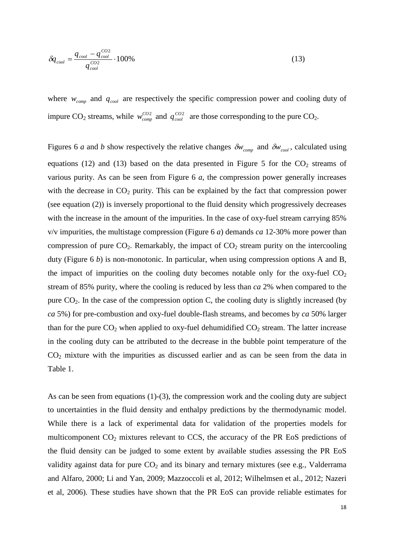$$
\delta q_{cool} = \frac{q_{cool} - q_{cool}^{CO2}}{q_{cool}^{CO2}} \cdot 100\%
$$
\n(13)

where  $w_{comp}$  and  $q_{cool}$  are respectively the specific compression power and cooling duty of impure CO<sub>2</sub> streams, while  $w_{comp}^{CO2}$  and  $q_{cool}^{CO2}$  are those corresponding to the pure CO<sub>2</sub>.

Figures 6 *a* and *b* show respectively the relative changes  $\delta w_{\text{comp}}$  and  $\delta w_{\text{cool}}$ , calculated using equations (12) and (13) based on the data presented in Figure 5 for the  $CO<sub>2</sub>$  streams of various purity. As can be seen from Figure 6 *a*, the compression power generally increases with the decrease in  $CO<sub>2</sub>$  purity. This can be explained by the fact that compression power (see equation (2)) is inversely proportional to the fluid density which progressively decreases with the increase in the amount of the impurities. In the case of oxy-fuel stream carrying 85% v/v impurities, the multistage compression (Figure 6 *a*) demands *ca* 12-30% more power than compression of pure  $CO_2$ . Remarkably, the impact of  $CO_2$  stream purity on the intercooling duty (Figure 6 *b*) is non-monotonic. In particular, when using compression options A and B, the impact of impurities on the cooling duty becomes notable only for the oxy-fuel  $CO<sub>2</sub>$ stream of 85% purity, where the cooling is reduced by less than *ca* 2% when compared to the pure  $CO<sub>2</sub>$ . In the case of the compression option C, the cooling duty is slightly increased (by *ca* 5%) for pre-combustion and oxy-fuel double-flash streams, and becomes by *ca* 50% larger than for the pure  $CO_2$  when applied to oxy-fuel dehumidified  $CO_2$  stream. The latter increase in the cooling duty can be attributed to the decrease in the bubble point temperature of the  $CO<sub>2</sub>$  mixture with the impurities as discussed earlier and as can be seen from the data in Table 1.

As can be seen from equations (1)-(3), the compression work and the cooling duty are subject to uncertainties in the fluid density and enthalpy predictions by the thermodynamic model. While there is a lack of experimental data for validation of the properties models for multicomponent  $CO<sub>2</sub>$  mixtures relevant to CCS, the accuracy of the PR EoS predictions of the fluid density can be judged to some extent by available studies assessing the PR EoS validity against data for pure CO<sub>2</sub> and its binary and ternary mixtures (see e.g., Valderrama and Alfaro, 2000; Li and Yan, 2009; Mazzoccoli et al, 2012; Wilhelmsen et al., 2012; Nazeri et al, 2006). These studies have shown that the PR EoS can provide reliable estimates for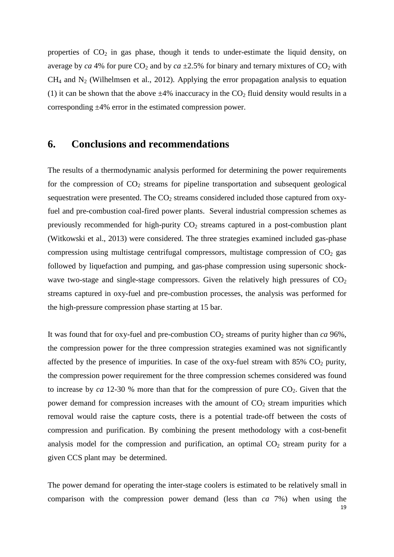properties of  $CO<sub>2</sub>$  in gas phase, though it tends to under-estimate the liquid density, on average by *ca* 4% for pure  $CO_2$  and by *ca*  $\pm 2.5$ % for binary and ternary mixtures of  $CO_2$  with  $CH<sub>4</sub>$  and N<sub>2</sub> (Wilhelmsen et al., 2012). Applying the error propagation analysis to equation (1) it can be shown that the above  $\pm 4\%$  inaccuracy in the CO<sub>2</sub> fluid density would results in a corresponding ±4% error in the estimated compression power.

## **6. Conclusions and recommendations**

The results of a thermodynamic analysis performed for determining the power requirements for the compression of  $CO<sub>2</sub>$  streams for pipeline transportation and subsequent geological sequestration were presented. The  $CO<sub>2</sub>$  streams considered included those captured from oxyfuel and pre-combustion coal-fired power plants. Several industrial compression schemes as previously recommended for high-purity  $CO<sub>2</sub>$  streams captured in a post-combustion plant (Witkowski et al., 2013) were considered. The three strategies examined included gas-phase compression using multistage centrifugal compressors, multistage compression of  $CO<sub>2</sub>$  gas followed by liquefaction and pumping, and gas-phase compression using supersonic shockwave two-stage and single-stage compressors. Given the relatively high pressures of  $CO<sub>2</sub>$ streams captured in oxy-fuel and pre-combustion processes, the analysis was performed for the high-pressure compression phase starting at 15 bar.

It was found that for oxy-fuel and pre-combustion  $CO_2$  streams of purity higher than *ca* 96%, the compression power for the three compression strategies examined was not significantly affected by the presence of impurities. In case of the oxy-fuel stream with  $85\%$  CO<sub>2</sub> purity, the compression power requirement for the three compression schemes considered was found to increase by  $ca$  12-30 % more than that for the compression of pure  $CO<sub>2</sub>$ . Given that the power demand for compression increases with the amount of  $CO<sub>2</sub>$  stream impurities which removal would raise the capture costs, there is a potential trade-off between the costs of compression and purification. By combining the present methodology with a cost-benefit analysis model for the compression and purification, an optimal  $CO<sub>2</sub>$  stream purity for a given CCS plant may be determined.

The power demand for operating the inter-stage coolers is estimated to be relatively small in comparison with the compression power demand (less than *ca* 7%) when using the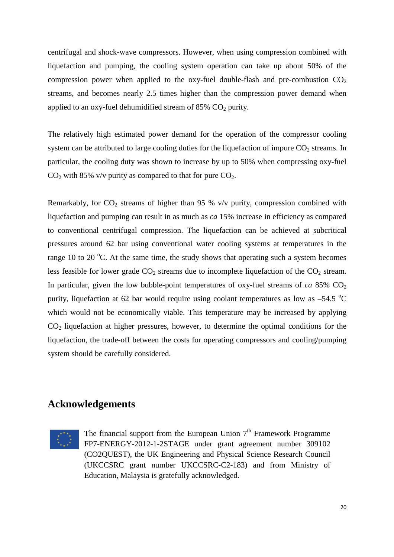centrifugal and shock-wave compressors. However, when using compression combined with liquefaction and pumping, the cooling system operation can take up about 50% of the compression power when applied to the oxy-fuel double-flash and pre-combustion  $CO<sub>2</sub>$ streams, and becomes nearly 2.5 times higher than the compression power demand when applied to an oxy-fuel dehumidified stream of  $85\%$  CO<sub>2</sub> purity.

The relatively high estimated power demand for the operation of the compressor cooling system can be attributed to large cooling duties for the liquefaction of impure  $CO<sub>2</sub>$  streams. In particular, the cooling duty was shown to increase by up to 50% when compressing oxy-fuel  $CO<sub>2</sub>$  with 85% v/v purity as compared to that for pure  $CO<sub>2</sub>$ .

Remarkably, for  $CO_2$  streams of higher than 95 % v/v purity, compression combined with liquefaction and pumping can result in as much as *ca* 15% increase in efficiency as compared to conventional centrifugal compression. The liquefaction can be achieved at subcritical pressures around 62 bar using conventional water cooling systems at temperatures in the range 10 to 20  $^{\circ}$ C. At the same time, the study shows that operating such a system becomes less feasible for lower grade  $CO<sub>2</sub>$  streams due to incomplete liquefaction of the  $CO<sub>2</sub>$  stream. In particular, given the low bubble-point temperatures of oxy-fuel streams of  $ca$  85%  $CO<sub>2</sub>$ purity, liquefaction at 62 bar would require using coolant temperatures as low as  $-54.5$  °C which would not be economically viable. This temperature may be increased by applying  $CO<sub>2</sub>$  liquefaction at higher pressures, however, to determine the optimal conditions for the liquefaction, the trade-off between the costs for operating compressors and cooling/pumping system should be carefully considered.

### **Acknowledgements**



The financial support from the European Union  $7<sup>th</sup>$  Framework Programme FP7-ENERGY-2012-1-2STAGE under grant agreement number 309102 (CO2QUEST), the UK Engineering and Physical Science Research Council (UKCCSRC grant number UKCCSRC-C2-183) and from Ministry of Education, Malaysia is gratefully acknowledged.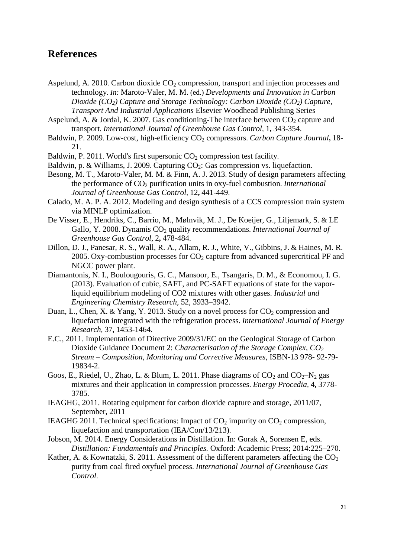## **References**

- Aspelund, A. 2010. Carbon dioxide  $CO<sub>2</sub>$  compression, transport and injection processes and technology. *In:* Maroto-Valer, M. M. (ed.) *Developments and Innovation in Carbon Dioxide (CO2) Capture and Storage Technology: Carbon Dioxide (CO2) Capture, Transport And Industrial Applications* Elsevier Woodhead Publishing Series
- Aspelund, A. & Jordal, K. 2007. Gas conditioning-The interface between  $CO<sub>2</sub>$  capture and transport. *International Journal of Greenhouse Gas Control,* 1**,** 343-354.
- Baldwin, P. 2009. Low-cost, high-efficiency CO<sub>2</sub> compressors. *Carbon Capture Journal*, 18-21.
- Baldwin, P. 2011. World's first supersonic  $CO<sub>2</sub>$  compression test facility.
- Baldwin, p. & Williams, J. 2009. Capturing  $CO<sub>2</sub>$ : Gas compression vs. liquefaction.
- Besong, M. T., Maroto-Valer, M. M. & Finn, A. J. 2013. Study of design parameters affecting the performance of CO<sup>2</sup> purification units in oxy-fuel combustion. *International Journal of Greenhouse Gas Control,* 12**,** 441-449.
- Calado, M. A. P. A. 2012. Modeling and design synthesis of a CCS compression train system via MINLP optimization.
- De Visser, E., Hendriks, C., Barrio, M., Mølnvik, M. J., De Koeijer, G., Liljemark, S. & LE Gallo, Y. 2008. Dynamis CO<sub>2</sub> quality recommendations. *International Journal of Greenhouse Gas Control,* 2**,** 478-484.
- Dillon, D. J., Panesar, R. S., Wall, R. A., Allam, R. J., White, V., Gibbins, J. & Haines, M. R. 2005. Oxy-combustion processes for  $CO<sub>2</sub>$  capture from advanced supercritical PF and NGCC power plant.
- Diamantonis, N. I., Boulougouris, G. C., Mansoor, E., Tsangaris, D. M., & Economou, I. G. (2013). Evaluation of cubic, SAFT, and PC-SAFT equations of state for the vaporliquid equilibrium modeling of CO2 mixtures with other gases. *Industrial and Engineering Chemistry Research*, 52, 3933–3942.
- Duan, L., Chen, X. & Yang, Y. 2013. Study on a novel process for  $CO_2$  compression and liquefaction integrated with the refrigeration process. *International Journal of Energy Research,* 37**,** 1453-1464.
- E.C., 2011. Implementation of Directive 2009/31/EC on the Geological Storage of Carbon Dioxide Guidance Document 2: *Characterisation of the Storage Complex, CO<sup>2</sup> Stream – Composition, Monitoring and Corrective Measures*, ISBN-13 978- 92-79- 19834-2.
- Goos, E., Riedel, U., Zhao, L. & Blum, L. 2011. Phase diagrams of  $CO_2$  and  $CO_2-N_2$  gas mixtures and their application in compression processes. *Energy Procedia,* 4**,** 3778- 3785.
- IEAGHG, 2011. Rotating equipment for carbon dioxide capture and storage, 2011/07, September, 2011
- IEAGHG 2011. Technical specifications: Impact of  $CO<sub>2</sub>$  impurity on  $CO<sub>2</sub>$  compression, liquefaction and transportation (IEA/Con/13/213).
- Jobson, M. 2014. Energy Considerations in Distillation. In: Gorak A, Sorensen E, eds. *Distillation: Fundamentals and Principles.* Oxford: Academic Press; 2014:225–270.
- Kather, A. & Kownatzki, S. 2011. Assessment of the different parameters affecting the  $CO<sub>2</sub>$ purity from coal fired oxyfuel process. *International Journal of Greenhouse Gas Control*.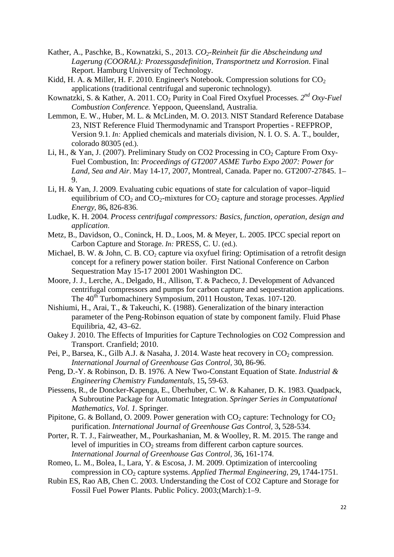- Kather, A., Paschke, B., Kownatzki, S., 2013. *CO2-Reinheit für die Abscheindung und Lagerung (COORAL): Prozessgasdefinition, Transportnetz und Korrosion*. Final Report. Hamburg University of Technology.
- Kidd, H. A. & Miller, H. F. 2010. Engineer's Notebook. Compression solutions for  $CO<sub>2</sub>$ applications (traditional centrifugal and superonic technology).
- Kownatzki, S. & Kather, A. 2011. CO<sup>2</sup> Purity in Coal Fired Oxyfuel Processes. *2 nd Oxy-Fuel Combustion Conference.* Yeppoon, Queensland, Australia.
- Lemmon, E. W., Huber, M. L. & McLinden, M. O. 2013. NIST Standard Reference Database 23, NIST Reference Fluid Thermodynamic and Transport Properties - REFPROP, Version 9.1. *In:* Applied chemicals and materials division, N. I. O. S. A. T., boulder, colorado 80305 (ed.).
- Li, H., & Yan, J. (2007). Preliminary Study on CO2 Processing in  $CO<sub>2</sub>$  Capture From Oxy-Fuel Combustion, In: *Proceedings of GT2007 ASME Turbo Expo 2007: Power for Land, Sea and Air*. May 14-17, 2007, Montreal, Canada. Paper no. GT2007-27845. 1– 9.
- Li, H. & Yan, J. 2009. Evaluating cubic equations of state for calculation of vapor–liquid equilibrium of CO<sub>2</sub> and CO<sub>2</sub>-mixtures for CO<sub>2</sub> capture and storage processes. *Applied Energy,* 86**,** 826-836.
- Ludke, K. H. 2004. *Process centrifugal compressors: Basics, function, operation, design and application*.
- Metz, B., Davidson, O., Coninck, H. D., Loos, M. & Meyer, L. 2005. IPCC special report on Carbon Capture and Storage. *In:* PRESS, C. U. (ed.).
- Michael, B. W. & John, C. B. CO<sub>2</sub> capture via oxyfuel firing: Optimisation of a retrofit design concept for a refinery power station boiler. First National Conference on Carbon Sequestration May 15-17 2001 2001 Washington DC.
- Moore, J. J., Lerche, A., Delgado, H., Allison, T. & Pacheco, J. Development of Advanced centrifugal compressors and pumps for carbon capture and sequestration applications. The 40<sup>th</sup> Turbomachinery Symposium, 2011 Houston, Texas. 107-120.
- Nishiumi, H., Arai, T., & Takeuchi, K. (1988). Generalization of the binary interaction parameter of the Peng-Robinson equation of state by component family. Fluid Phase Equilibria, 42, 43–62.
- Oakey J. 2010. The Effects of Impurities for Capture Technologies on CO2 Compression and Transport. Cranfield; 2010.
- Pei, P., Barsea, K., Gilb A.J. & Nasaha, J. 2014. Waste heat recovery in  $CO_2$  compression. *International Journal of Greenhouse Gas Control,* 30**,** 86-96.
- Peng, D.-Y. & Robinson, D. B. 1976. A New Two-Constant Equation of State. *Industrial & Engineering Chemistry Fundamentals,* 15**,** 59-63.
- Piessens, R., de Doncker-Kapenga, E., Überhuber, C. W. & Kahaner, D. K. 1983. Quadpack, A Subroutine Package for Automatic Integration. *Springer Series in Computational Mathematics, Vol. 1.* Springer.
- Pipitone, G. & Bolland, O. 2009. Power generation with  $CO<sub>2</sub>$  capture: Technology for  $CO<sub>2</sub>$ purification. *International Journal of Greenhouse Gas Control,* 3**,** 528-534.
- Porter, R. T. J., Fairweather, M., Pourkashanian, M. & Woolley, R. M. 2015. The range and level of impurities in  $CO<sub>2</sub>$  streams from different carbon capture sources. *International Journal of Greenhouse Gas Control,* 36**,** 161-174.
- Romeo, L. M., Bolea, I., Lara, Y. & Escosa, J. M. 2009. Optimization of intercooling compression in CO<sup>2</sup> capture systems. *Applied Thermal Engineering,* 29**,** 1744-1751.
- Rubin ES, Rao AB, Chen C. 2003. Understanding the Cost of CO2 Capture and Storage for Fossil Fuel Power Plants. Public Policy. 2003;(March):1–9.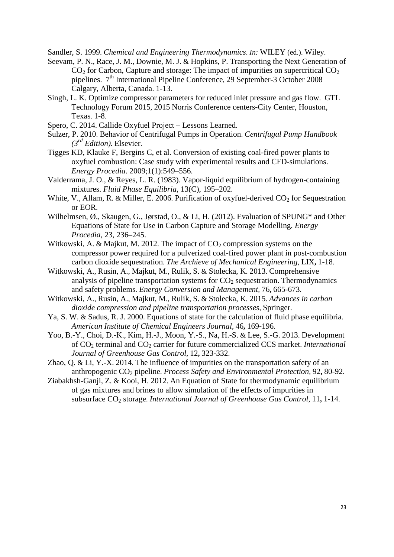Sandler, S. 1999. *Chemical and Engineering Thermodynamics*. *In:* WILEY (ed.). Wiley.

- Seevam, P. N., Race, J. M., Downie, M. J. & Hopkins, P. Transporting the Next Generation of  $CO<sub>2</sub>$  for Carbon, Capture and storage: The impact of impurities on supercritical  $CO<sub>2</sub>$ pipelines. 7 th International Pipeline Conference, 29 September-3 October 2008 Calgary, Alberta, Canada. 1-13.
- Singh, L. K. Optimize compressor parameters for reduced inlet pressure and gas flow. GTL Technology Forum 2015, 2015 Norris Conference centers-City Center, Houston, Texas. 1-8.
- Spero, C. 2014. Callide Oxyfuel Project Lessons Learned.
- Sulzer, P. 2010. Behavior of Centrifugal Pumps in Operation. *Centrifugal Pump Handbook (3rd Edition).* Elsevier.
- Tigges KD, Klauke F, Bergins C, et al. Conversion of existing coal-fired power plants to oxyfuel combustion: Case study with experimental results and CFD-simulations. *Energy Procedia*. 2009;1(1):549–556.
- Valderrama, J. O., & Reyes, L. R. (1983). Vapor-liquid equilibrium of hydrogen-containing mixtures. *Fluid Phase Equilibria*, 13(C), 195–202.
- White, V., Allam, R. & Miller, E. 2006. Purification of oxyfuel-derived  $CO<sub>2</sub>$  for Sequestration or EOR.
- Wilhelmsen, Ø., Skaugen, G., Jørstad, O., & Li, H. (2012). Evaluation of SPUNG\* and Other Equations of State for Use in Carbon Capture and Storage Modelling. *Energy Procedia*, 23, 236–245.
- Witkowski, A. & Majkut, M. 2012. The impact of  $CO<sub>2</sub>$  compression systems on the compressor power required for a pulverized coal-fired power plant in post-combustion carbon dioxide sequestration. *The Archieve of Mechanical Engineering,* LIX**,** 1-18.
- Witkowski, A., Rusin, A., Majkut, M., Rulik, S. & Stolecka, K. 2013. Comprehensive analysis of pipeline transportation systems for  $CO<sub>2</sub>$  sequestration. Thermodynamics and safety problems. *Energy Conversion and Management,* 76**,** 665-673.
- Witkowski, A., Rusin, A., Majkut, M., Rulik, S. & Stolecka, K. 2015. *Advances in carbon dioxide compression and pipeline transportation processes*, Springer.
- Ya, S. W. & Sadus, R. J. 2000. Equations of state for the calculation of fluid phase equilibria. *American Institute of Chemical Engineers Journal,* 46**,** 169-196.
- Yoo, B.-Y., Choi, D.-K., Kim, H.-J., Moon, Y.-S., Na, H.-S. & Lee, S.-G. 2013. Development of CO<sup>2</sup> terminal and CO<sup>2</sup> carrier for future commercialized CCS market. *International Journal of Greenhouse Gas Control,* 12**,** 323-332.
- Zhao, Q. & Li, Y.-X. 2014. The influence of impurities on the transportation safety of an anthropogenic CO<sup>2</sup> pipeline. *Process Safety and Environmental Protection,* 92**,** 80-92.
- Ziabakhsh-Ganji, Z. & Kooi, H. 2012. An Equation of State for thermodynamic equilibrium of gas mixtures and brines to allow simulation of the effects of impurities in subsurface CO<sup>2</sup> storage. *International Journal of Greenhouse Gas Control,* 11**,** 1-14.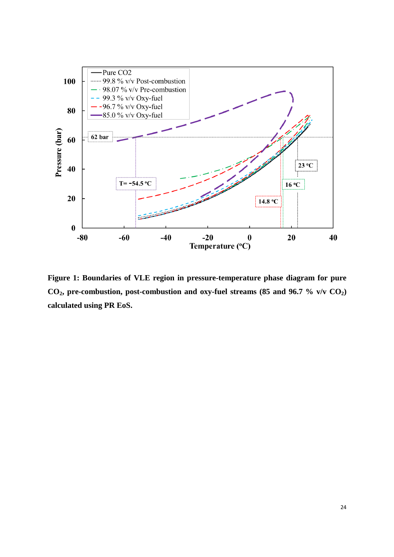

**Figure 1: Boundaries of VLE region in pressure-temperature phase diagram for pure CO2, pre-combustion, post-combustion and oxy-fuel streams (85 and 96.7 % v/v CO2) calculated using PR EoS.**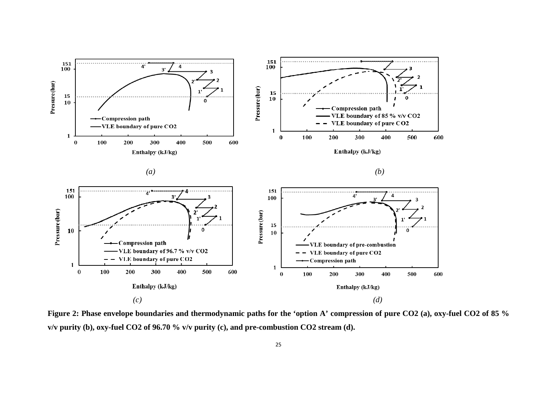

**Figure 2: Phase envelope boundaries and thermodynamic paths for the 'option A' compression of pure CO2 (a), oxy-fuel CO2 of 85 % v/v purity (b), oxy-fuel CO2 of 96.70 % v/v purity (c), and pre-combustion CO2 stream (d).**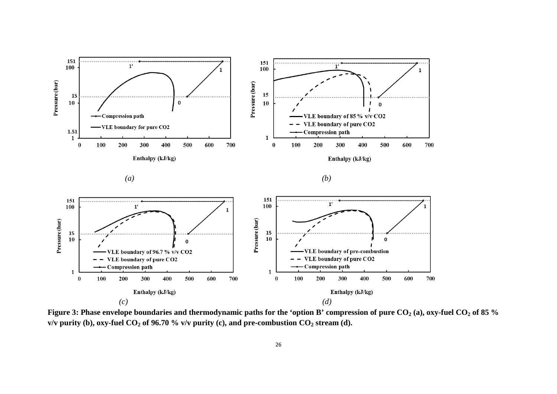





**Figure 3: Phase envelope boundaries and thermodynamic paths for the 'option B' compression of pure CO<sup>2</sup> (a), oxy-fuel CO<sup>2</sup> of 85 % v/v purity (b), oxy-fuel CO<sub>2</sub> of 96.70 % v/v purity (c), and pre-combustion CO<sub>2</sub> stream (d).**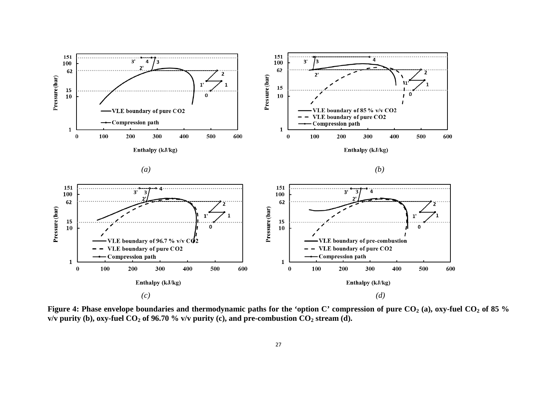

**Figure 4: Phase envelope boundaries and thermodynamic paths for the 'option C' compression of pure CO<sup>2</sup> (a), oxy-fuel CO<sup>2</sup> of 85 % v/v purity (b), oxy-fuel CO<sub>2</sub> of 96.70 % v/v purity (c), and pre-combustion CO<sub>2</sub> stream (d).**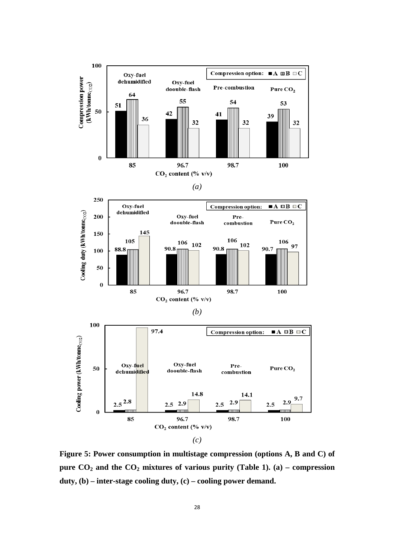

**Figure 5: Power consumption in multistage compression (options A, B and C) of pure CO**<sub>2</sub> **and the CO**<sub>2</sub> **mixtures of various purity (Table 1).** (a) – compression **duty, (b) – inter-stage cooling duty, (c) – cooling power demand.**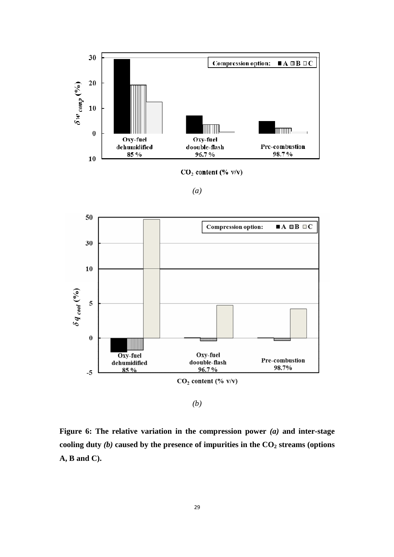

 $CO<sub>2</sub> content (%)$ 

*(a)*



*(b)*

**Figure 6: The relative variation in the compression power** *(a)* **and inter-stage cooling duty** *(b)* **caused by the presence of impurities in the CO<sup>2</sup> streams (options A, B and C).**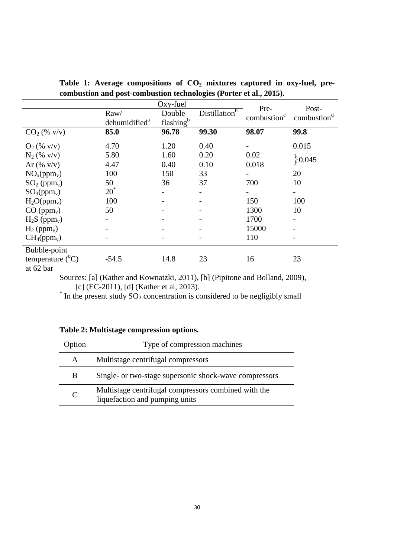| comousiton and post comousiton technologies (1 orier et any 2010). |                           |                       |                                |                         |                                  |  |  |  |
|--------------------------------------------------------------------|---------------------------|-----------------------|--------------------------------|-------------------------|----------------------------------|--|--|--|
|                                                                    |                           | Oxy-fuel              | Pre-                           |                         |                                  |  |  |  |
|                                                                    | Raw/                      | Double                | b<br>Distillation <sup>t</sup> | combustion <sup>c</sup> | Post-<br>combustion <sup>d</sup> |  |  |  |
|                                                                    | dehumidified <sup>a</sup> | flashing <sup>b</sup> |                                |                         |                                  |  |  |  |
| $CO2$ (% v/v)                                                      | 85.0                      | 96.78                 | 99.30                          | 98.07                   | 99.8                             |  |  |  |
| $O_2$ (% v/v)                                                      | 4.70                      | 1.20                  | 0.40                           |                         | 0.015                            |  |  |  |
| $N_2$ (% v/v)                                                      | 5.80                      | 1.60                  | 0.20                           | 0.02                    |                                  |  |  |  |
| Ar $(\%$ v/v)                                                      | 4.47                      | 0.40                  | 0.10                           | 0.018                   | 0.045                            |  |  |  |
| NO <sub>x</sub> (ppm <sub>v</sub> )                                | 100                       | 150                   | 33                             |                         | 20                               |  |  |  |
| $SO2$ (ppm <sub>v</sub> )                                          | 50                        | 36                    | 37                             | 700                     | 10                               |  |  |  |
| $SO_3(ppm_v)$                                                      | $20^*$                    |                       |                                |                         |                                  |  |  |  |
| $H_2O(ppm_v)$                                                      | 100                       |                       |                                | 150                     | 100                              |  |  |  |
| $CO (ppm_v)$                                                       | 50                        |                       |                                | 1300                    | 10                               |  |  |  |
| $H_2S$ (ppm <sub>v</sub> )                                         |                           |                       |                                | 1700                    |                                  |  |  |  |
| $H_2$ (ppm <sub>v</sub> )                                          |                           |                       |                                | 15000                   |                                  |  |  |  |
| CH <sub>4</sub> (ppm <sub>v</sub> )                                |                           |                       |                                | 110                     |                                  |  |  |  |
| Bubble-point                                                       |                           |                       |                                |                         |                                  |  |  |  |
| temperature $(^{\circ}C)$                                          | $-54.5$                   | 14.8                  | 23                             | 16                      | 23                               |  |  |  |
| at 62 bar                                                          |                           |                       |                                |                         |                                  |  |  |  |

**Table 1: Average compositions of CO<sup>2</sup> mixtures captured in oxy-fuel, precombustion and post-combustion technologies (Porter et al., 2015).**

Sources: [a] (Kather and Kownatzki, 2011), [b] (Pipitone and Bolland, 2009),

[c] (EC-2011), [d] (Kather et al, 2013).<br>
<sup>\*</sup> In the present study  $SO_3$  concentration is considered to be negligibly small

| Table 2: Multistage compression options. |  |  |
|------------------------------------------|--|--|
|------------------------------------------|--|--|

| Option       | Type of compression machines                                                           |
|--------------|----------------------------------------------------------------------------------------|
| $\mathsf{A}$ | Multistage centrifugal compressors                                                     |
| B            | Single- or two-stage supersonic shock-wave compressors                                 |
| C            | Multistage centrifugal compressors combined with the<br>liquefaction and pumping units |